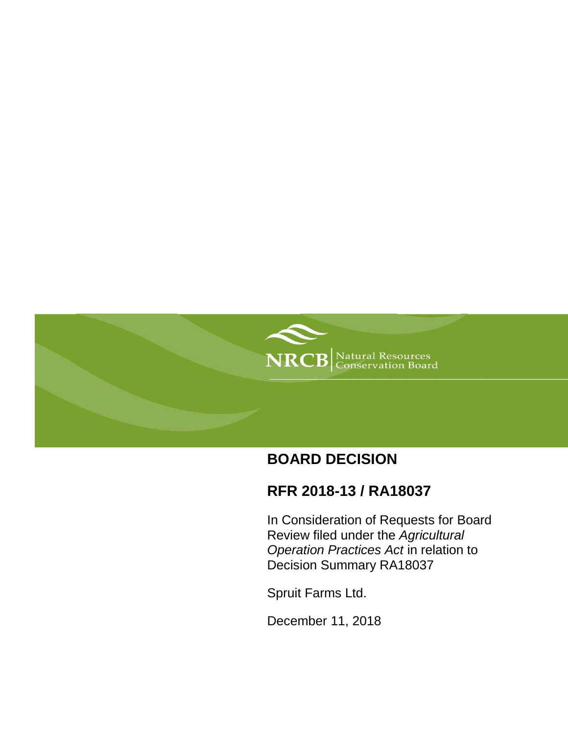

# **BOARD DECISION**

# **RFR 2018-13 / RA18037**

In Consideration of Requests for Board Review filed under the *Agricultural Operation Practices Act* in relation to Decision Summary RA18037

Spruit Farms Ltd.

December 11, 2018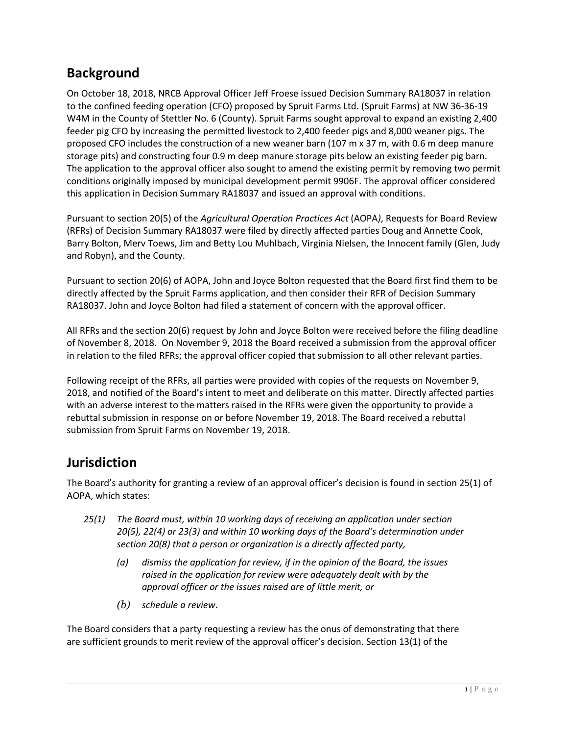## **Background**

On October 18, 2018, NRCB Approval Officer Jeff Froese issued Decision Summary RA18037 in relation to the confined feeding operation (CFO) proposed by Spruit Farms Ltd. (Spruit Farms) at NW 36-36-19 W4M in the County of Stettler No. 6 (County). Spruit Farms sought approval to expand an existing 2,400 feeder pig CFO by increasing the permitted livestock to 2,400 feeder pigs and 8,000 weaner pigs. The proposed CFO includes the construction of a new weaner barn (107 m x 37 m, with 0.6 m deep manure storage pits) and constructing four 0.9 m deep manure storage pits below an existing feeder pig barn. The application to the approval officer also sought to amend the existing permit by removing two permit conditions originally imposed by municipal development permit 9906F. The approval officer considered this application in Decision Summary RA18037 and issued an approval with conditions.

Pursuant to section 20(5) of the *Agricultural Operation Practices Act* (AOPA*)*, Requests for Board Review (RFRs) of Decision Summary RA18037 were filed by directly affected parties Doug and Annette Cook, Barry Bolton, Merv Toews, Jim and Betty Lou Muhlbach, Virginia Nielsen, the Innocent family (Glen, Judy and Robyn), and the County.

Pursuant to section 20(6) of AOPA, John and Joyce Bolton requested that the Board first find them to be directly affected by the Spruit Farms application, and then consider their RFR of Decision Summary RA18037. John and Joyce Bolton had filed a statement of concern with the approval officer.

All RFRs and the section 20(6) request by John and Joyce Bolton were received before the filing deadline of November 8, 2018. On November 9, 2018 the Board received a submission from the approval officer in relation to the filed RFRs; the approval officer copied that submission to all other relevant parties.

Following receipt of the RFRs, all parties were provided with copies of the requests on November 9, 2018, and notified of the Board's intent to meet and deliberate on this matter. Directly affected parties with an adverse interest to the matters raised in the RFRs were given the opportunity to provide a rebuttal submission in response on or before November 19, 2018. The Board received a rebuttal submission from Spruit Farms on November 19, 2018.

### **Jurisdiction**

The Board's authority for granting a review of an approval officer's decision is found in section 25(1) of AOPA, which states:

- *25(1) The Board must, within 10 working days of receiving an application under section 20(5), 22(4) or 23(3) and within 10 working days of the Board's determination under section 20(8) that a person or organization is a directly affected party,*
	- *(a) dismiss the application for review, if in the opinion of the Board, the issues raised in the application for review were adequately dealt with by the approval officer or the issues raised are of little merit, or*
	- *(b) schedule a review.*

The Board considers that a party requesting a review has the onus of demonstrating that there are sufficient grounds to merit review of the approval officer's decision. Section 13(1) of the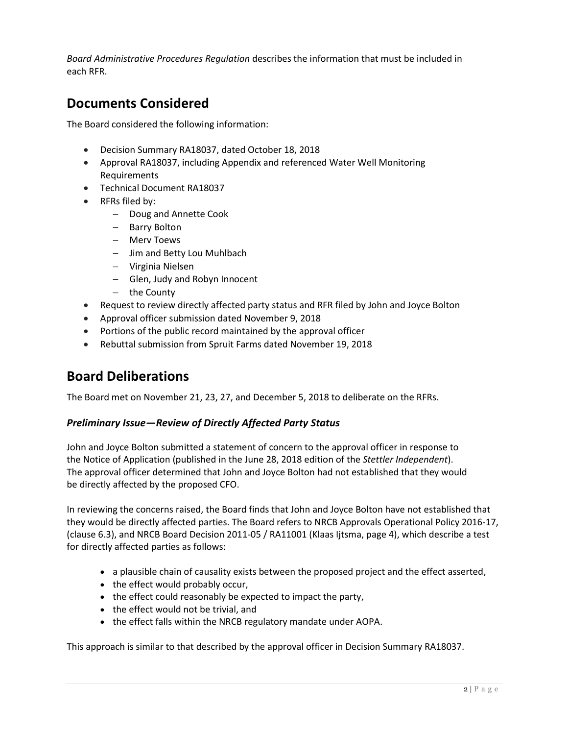*Board Administrative Procedures Regulation* describes the information that must be included in each RFR.

### **Documents Considered**

The Board considered the following information:

- Decision Summary RA18037, dated October 18, 2018
- Approval RA18037, including Appendix and referenced Water Well Monitoring **Requirements**
- Technical Document RA18037
- RFRs filed by:
	- Doug and Annette Cook
	- Barry Bolton
	- Merv Toews
	- Jim and Betty Lou Muhlbach
	- Virginia Nielsen
	- Glen, Judy and Robyn Innocent
	- $-$  the County
- Request to review directly affected party status and RFR filed by John and Joyce Bolton
- Approval officer submission dated November 9, 2018
- Portions of the public record maintained by the approval officer
- Rebuttal submission from Spruit Farms dated November 19, 2018

### **Board Deliberations**

The Board met on November 21, 23, 27, and December 5, 2018 to deliberate on the RFRs.

#### *Preliminary Issue—Review of Directly Affected Party Status*

John and Joyce Bolton submitted a statement of concern to the approval officer in response to the Notice of Application (published in the June 28, 2018 edition of the *Stettler Independent*). The approval officer determined that John and Joyce Bolton had not established that they would be directly affected by the proposed CFO.

In reviewing the concerns raised, the Board finds that John and Joyce Bolton have not established that they would be directly affected parties. The Board refers to NRCB Approvals Operational Policy 2016-17, (clause 6.3), and NRCB Board Decision 2011-05 / RA11001 (Klaas Ijtsma, page 4), which describe a test for directly affected parties as follows:

- a plausible chain of causality exists between the proposed project and the effect asserted,
- the effect would probably occur,
- the effect could reasonably be expected to impact the party,
- the effect would not be trivial, and
- the effect falls within the NRCB regulatory mandate under AOPA.

This approach is similar to that described by the approval officer in Decision Summary RA18037.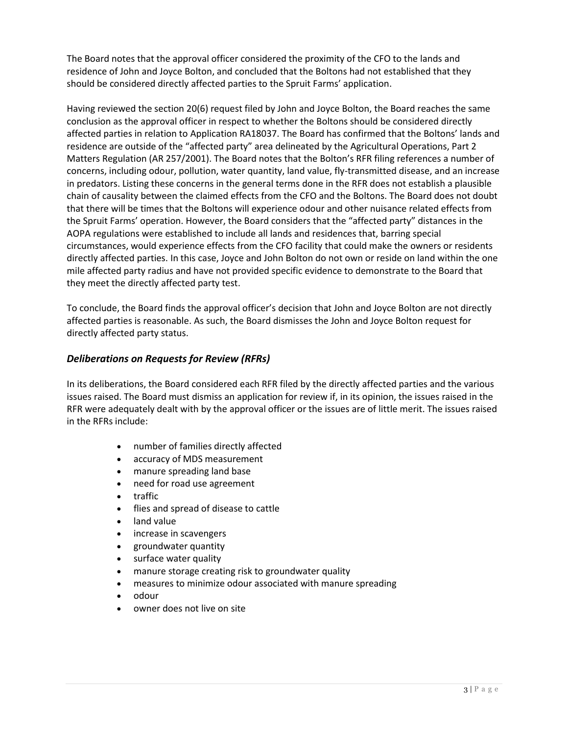The Board notes that the approval officer considered the proximity of the CFO to the lands and residence of John and Joyce Bolton, and concluded that the Boltons had not established that they should be considered directly affected parties to the Spruit Farms' application.

Having reviewed the section 20(6) request filed by John and Joyce Bolton, the Board reaches the same conclusion as the approval officer in respect to whether the Boltons should be considered directly affected parties in relation to Application RA18037. The Board has confirmed that the Boltons' lands and residence are outside of the "affected party" area delineated by the Agricultural Operations, Part 2 Matters Regulation (AR 257/2001). The Board notes that the Bolton's RFR filing references a number of concerns, including odour, pollution, water quantity, land value, fly-transmitted disease, and an increase in predators. Listing these concerns in the general terms done in the RFR does not establish a plausible chain of causality between the claimed effects from the CFO and the Boltons. The Board does not doubt that there will be times that the Boltons will experience odour and other nuisance related effects from the Spruit Farms' operation. However, the Board considers that the "affected party" distances in the AOPA regulations were established to include all lands and residences that, barring special circumstances, would experience effects from the CFO facility that could make the owners or residents directly affected parties. In this case, Joyce and John Bolton do not own or reside on land within the one mile affected party radius and have not provided specific evidence to demonstrate to the Board that they meet the directly affected party test.

To conclude, the Board finds the approval officer's decision that John and Joyce Bolton are not directly affected parties is reasonable. As such, the Board dismisses the John and Joyce Bolton request for directly affected party status.

#### *Deliberations on Requests for Review (RFRs)*

In its deliberations, the Board considered each RFR filed by the directly affected parties and the various issues raised. The Board must dismiss an application for review if, in its opinion, the issues raised in the RFR were adequately dealt with by the approval officer or the issues are of little merit. The issues raised in the RFRs include:

- number of families directly affected
- accuracy of MDS measurement
- manure spreading land base
- need for road use agreement
- traffic
- flies and spread of disease to cattle
- land value
- increase in scavengers
- groundwater quantity
- surface water quality
- manure storage creating risk to groundwater quality
- measures to minimize odour associated with manure spreading
- odour
- owner does not live on site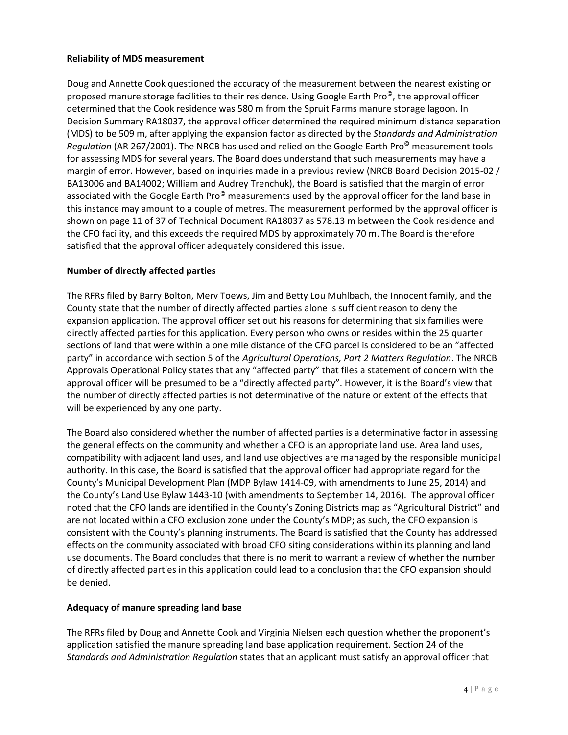#### **Reliability of MDS measurement**

Doug and Annette Cook questioned the accuracy of the measurement between the nearest existing or proposed manure storage facilities to their residence. Using Google Earth Pro©, the approval officer determined that the Cook residence was 580 m from the Spruit Farms manure storage lagoon. In Decision Summary RA18037, the approval officer determined the required minimum distance separation (MDS) to be 509 m, after applying the expansion factor as directed by the *Standards and Administration Regulation* (AR 267/2001). The NRCB has used and relied on the Google Earth Pro© measurement tools for assessing MDS for several years. The Board does understand that such measurements may have a margin of error. However, based on inquiries made in a previous review (NRCB Board Decision 2015-02 / BA13006 and BA14002; William and Audrey Trenchuk), the Board is satisfied that the margin of error associated with the Google Earth Pro<sup>®</sup> measurements used by the approval officer for the land base in this instance may amount to a couple of metres. The measurement performed by the approval officer is shown on page 11 of 37 of Technical Document RA18037 as 578.13 m between the Cook residence and the CFO facility, and this exceeds the required MDS by approximately 70 m. The Board is therefore satisfied that the approval officer adequately considered this issue.

#### **Number of directly affected parties**

The RFRs filed by Barry Bolton, Merv Toews, Jim and Betty Lou Muhlbach, the Innocent family, and the County state that the number of directly affected parties alone is sufficient reason to deny the expansion application. The approval officer set out his reasons for determining that six families were directly affected parties for this application. Every person who owns or resides within the 25 quarter sections of land that were within a one mile distance of the CFO parcel is considered to be an "affected party" in accordance with section 5 of the *Agricultural Operations, Part 2 Matters Regulation*. The NRCB Approvals Operational Policy states that any "affected party" that files a statement of concern with the approval officer will be presumed to be a "directly affected party". However, it is the Board's view that the number of directly affected parties is not determinative of the nature or extent of the effects that will be experienced by any one party.

The Board also considered whether the number of affected parties is a determinative factor in assessing the general effects on the community and whether a CFO is an appropriate land use. Area land uses, compatibility with adjacent land uses, and land use objectives are managed by the responsible municipal authority. In this case, the Board is satisfied that the approval officer had appropriate regard for the County's Municipal Development Plan (MDP Bylaw 1414-09, with amendments to June 25, 2014) and the County's Land Use Bylaw 1443-10 (with amendments to September 14, 2016). The approval officer noted that the CFO lands are identified in the County's Zoning Districts map as "Agricultural District" and are not located within a CFO exclusion zone under the County's MDP; as such, the CFO expansion is consistent with the County's planning instruments. The Board is satisfied that the County has addressed effects on the community associated with broad CFO siting considerations within its planning and land use documents. The Board concludes that there is no merit to warrant a review of whether the number of directly affected parties in this application could lead to a conclusion that the CFO expansion should be denied.

#### **Adequacy of manure spreading land base**

The RFRs filed by Doug and Annette Cook and Virginia Nielsen each question whether the proponent's application satisfied the manure spreading land base application requirement. Section 24 of the *Standards and Administration Regulation* states that an applicant must satisfy an approval officer that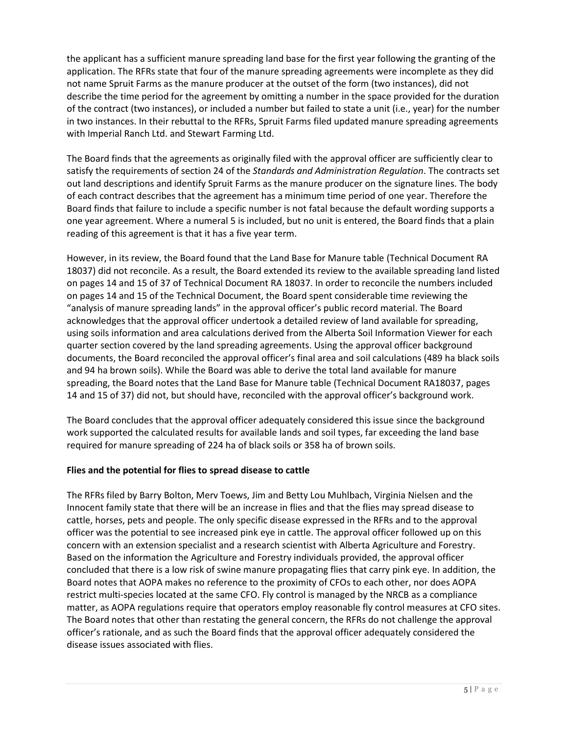the applicant has a sufficient manure spreading land base for the first year following the granting of the application. The RFRs state that four of the manure spreading agreements were incomplete as they did not name Spruit Farms as the manure producer at the outset of the form (two instances), did not describe the time period for the agreement by omitting a number in the space provided for the duration of the contract (two instances), or included a number but failed to state a unit (i.e., year) for the number in two instances. In their rebuttal to the RFRs, Spruit Farms filed updated manure spreading agreements with Imperial Ranch Ltd. and Stewart Farming Ltd.

The Board finds that the agreements as originally filed with the approval officer are sufficiently clear to satisfy the requirements of section 24 of the *Standards and Administration Regulation*. The contracts set out land descriptions and identify Spruit Farms as the manure producer on the signature lines. The body of each contract describes that the agreement has a minimum time period of one year. Therefore the Board finds that failure to include a specific number is not fatal because the default wording supports a one year agreement. Where a numeral 5 is included, but no unit is entered, the Board finds that a plain reading of this agreement is that it has a five year term.

However, in its review, the Board found that the Land Base for Manure table (Technical Document RA 18037) did not reconcile. As a result, the Board extended its review to the available spreading land listed on pages 14 and 15 of 37 of Technical Document RA 18037. In order to reconcile the numbers included on pages 14 and 15 of the Technical Document, the Board spent considerable time reviewing the "analysis of manure spreading lands" in the approval officer's public record material. The Board acknowledges that the approval officer undertook a detailed review of land available for spreading, using soils information and area calculations derived from the Alberta Soil Information Viewer for each quarter section covered by the land spreading agreements. Using the approval officer background documents, the Board reconciled the approval officer's final area and soil calculations (489 ha black soils and 94 ha brown soils). While the Board was able to derive the total land available for manure spreading, the Board notes that the Land Base for Manure table (Technical Document RA18037, pages 14 and 15 of 37) did not, but should have, reconciled with the approval officer's background work.

The Board concludes that the approval officer adequately considered this issue since the background work supported the calculated results for available lands and soil types, far exceeding the land base required for manure spreading of 224 ha of black soils or 358 ha of brown soils.

#### **Flies and the potential for flies to spread disease to cattle**

The RFRs filed by Barry Bolton, Merv Toews, Jim and Betty Lou Muhlbach, Virginia Nielsen and the Innocent family state that there will be an increase in flies and that the flies may spread disease to cattle, horses, pets and people. The only specific disease expressed in the RFRs and to the approval officer was the potential to see increased pink eye in cattle. The approval officer followed up on this concern with an extension specialist and a research scientist with Alberta Agriculture and Forestry. Based on the information the Agriculture and Forestry individuals provided, the approval officer concluded that there is a low risk of swine manure propagating flies that carry pink eye. In addition, the Board notes that AOPA makes no reference to the proximity of CFOs to each other, nor does AOPA restrict multi-species located at the same CFO. Fly control is managed by the NRCB as a compliance matter, as AOPA regulations require that operators employ reasonable fly control measures at CFO sites. The Board notes that other than restating the general concern, the RFRs do not challenge the approval officer's rationale, and as such the Board finds that the approval officer adequately considered the disease issues associated with flies.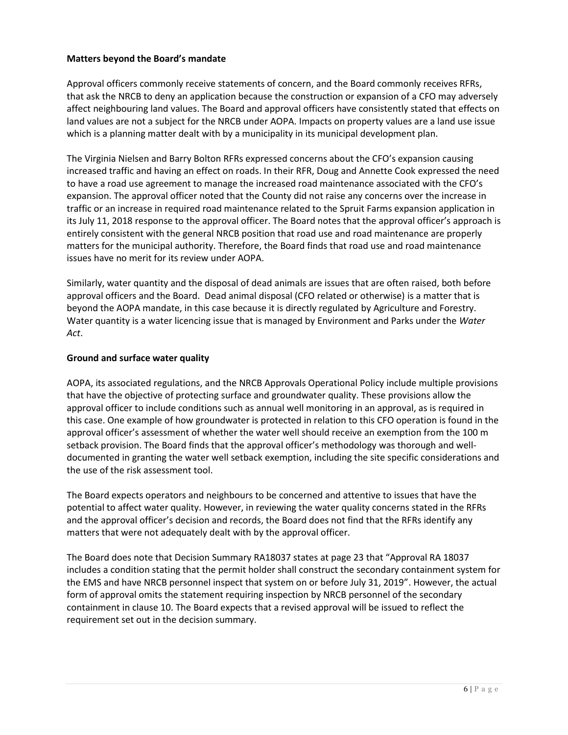#### **Matters beyond the Board's mandate**

Approval officers commonly receive statements of concern, and the Board commonly receives RFRs, that ask the NRCB to deny an application because the construction or expansion of a CFO may adversely affect neighbouring land values. The Board and approval officers have consistently stated that effects on land values are not a subject for the NRCB under AOPA. Impacts on property values are a land use issue which is a planning matter dealt with by a municipality in its municipal development plan.

The Virginia Nielsen and Barry Bolton RFRs expressed concerns about the CFO's expansion causing increased traffic and having an effect on roads. In their RFR, Doug and Annette Cook expressed the need to have a road use agreement to manage the increased road maintenance associated with the CFO's expansion. The approval officer noted that the County did not raise any concerns over the increase in traffic or an increase in required road maintenance related to the Spruit Farms expansion application in its July 11, 2018 response to the approval officer. The Board notes that the approval officer's approach is entirely consistent with the general NRCB position that road use and road maintenance are properly matters for the municipal authority. Therefore, the Board finds that road use and road maintenance issues have no merit for its review under AOPA.

Similarly, water quantity and the disposal of dead animals are issues that are often raised, both before approval officers and the Board. Dead animal disposal (CFO related or otherwise) is a matter that is beyond the AOPA mandate, in this case because it is directly regulated by Agriculture and Forestry. Water quantity is a water licencing issue that is managed by Environment and Parks under the *Water Act*.

#### **Ground and surface water quality**

AOPA, its associated regulations, and the NRCB Approvals Operational Policy include multiple provisions that have the objective of protecting surface and groundwater quality. These provisions allow the approval officer to include conditions such as annual well monitoring in an approval, as is required in this case. One example of how groundwater is protected in relation to this CFO operation is found in the approval officer's assessment of whether the water well should receive an exemption from the 100 m setback provision. The Board finds that the approval officer's methodology was thorough and welldocumented in granting the water well setback exemption, including the site specific considerations and the use of the risk assessment tool.

The Board expects operators and neighbours to be concerned and attentive to issues that have the potential to affect water quality. However, in reviewing the water quality concerns stated in the RFRs and the approval officer's decision and records, the Board does not find that the RFRs identify any matters that were not adequately dealt with by the approval officer.

The Board does note that Decision Summary RA18037 states at page 23 that "Approval RA 18037 includes a condition stating that the permit holder shall construct the secondary containment system for the EMS and have NRCB personnel inspect that system on or before July 31, 2019". However, the actual form of approval omits the statement requiring inspection by NRCB personnel of the secondary containment in clause 10. The Board expects that a revised approval will be issued to reflect the requirement set out in the decision summary.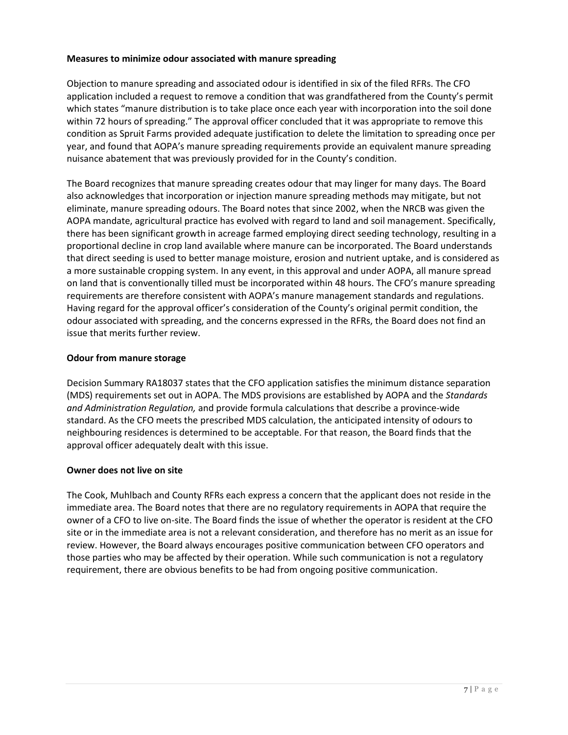#### **Measures to minimize odour associated with manure spreading**

Objection to manure spreading and associated odour is identified in six of the filed RFRs. The CFO application included a request to remove a condition that was grandfathered from the County's permit which states "manure distribution is to take place once each year with incorporation into the soil done within 72 hours of spreading." The approval officer concluded that it was appropriate to remove this condition as Spruit Farms provided adequate justification to delete the limitation to spreading once per year, and found that AOPA's manure spreading requirements provide an equivalent manure spreading nuisance abatement that was previously provided for in the County's condition.

The Board recognizes that manure spreading creates odour that may linger for many days. The Board also acknowledges that incorporation or injection manure spreading methods may mitigate, but not eliminate, manure spreading odours. The Board notes that since 2002, when the NRCB was given the AOPA mandate, agricultural practice has evolved with regard to land and soil management. Specifically, there has been significant growth in acreage farmed employing direct seeding technology, resulting in a proportional decline in crop land available where manure can be incorporated. The Board understands that direct seeding is used to better manage moisture, erosion and nutrient uptake, and is considered as a more sustainable cropping system. In any event, in this approval and under AOPA, all manure spread on land that is conventionally tilled must be incorporated within 48 hours. The CFO's manure spreading requirements are therefore consistent with AOPA's manure management standards and regulations. Having regard for the approval officer's consideration of the County's original permit condition, the odour associated with spreading, and the concerns expressed in the RFRs, the Board does not find an issue that merits further review.

#### **Odour from manure storage**

Decision Summary RA18037 states that the CFO application satisfies the minimum distance separation (MDS) requirements set out in AOPA. The MDS provisions are established by AOPA and the *Standards and Administration Regulation,* and provide formula calculations that describe a province-wide standard. As the CFO meets the prescribed MDS calculation, the anticipated intensity of odours to neighbouring residences is determined to be acceptable. For that reason, the Board finds that the approval officer adequately dealt with this issue.

#### **Owner does not live on site**

The Cook, Muhlbach and County RFRs each express a concern that the applicant does not reside in the immediate area. The Board notes that there are no regulatory requirements in AOPA that require the owner of a CFO to live on-site. The Board finds the issue of whether the operator is resident at the CFO site or in the immediate area is not a relevant consideration, and therefore has no merit as an issue for review. However, the Board always encourages positive communication between CFO operators and those parties who may be affected by their operation. While such communication is not a regulatory requirement, there are obvious benefits to be had from ongoing positive communication.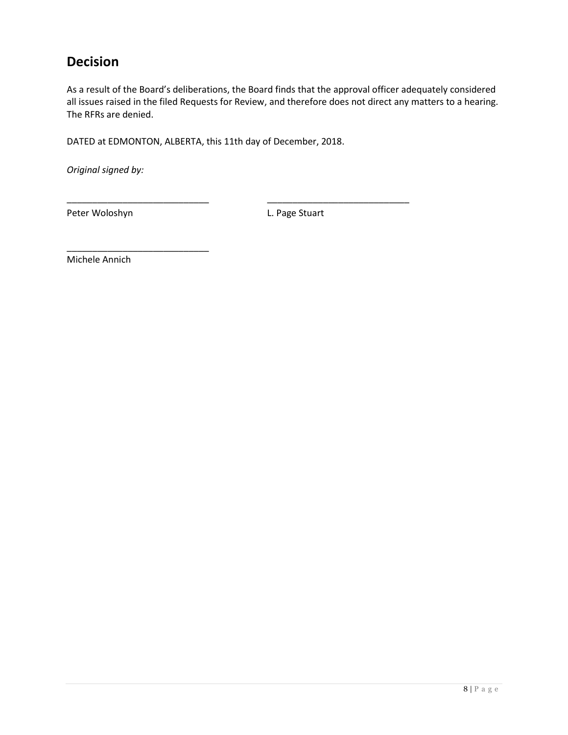## **Decision**

As a result of the Board's deliberations, the Board finds that the approval officer adequately considered all issues raised in the filed Requests for Review, and therefore does not direct any matters to a hearing. The RFRs are denied.

DATED at EDMONTON, ALBERTA, this 11th day of December, 2018.

\_\_\_\_\_\_\_\_\_\_\_\_\_\_\_\_\_\_\_\_\_\_\_\_\_\_\_\_ \_\_\_\_\_\_\_\_\_\_\_\_\_\_\_\_\_\_\_\_\_\_\_\_\_\_\_\_

*Original signed by:*

Peter Woloshyn **L. Page Stuart** 

Michele Annich

\_\_\_\_\_\_\_\_\_\_\_\_\_\_\_\_\_\_\_\_\_\_\_\_\_\_\_\_